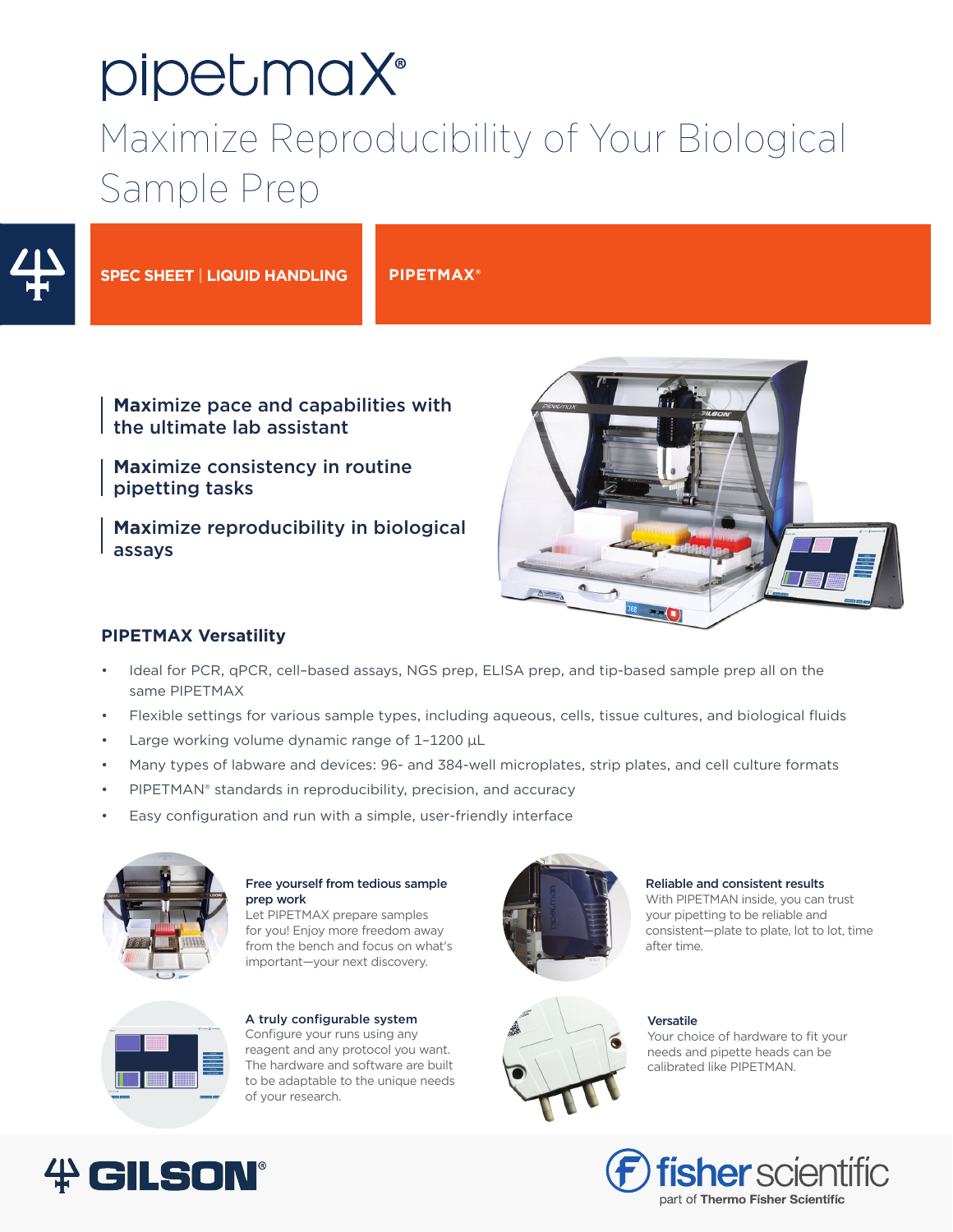# pipetmaX® Maximize Reproducibility of Your Biological Sample Prep



**SPEC SHEET | LIQUID HANDLING PIPETMAX®**

## **Max**imize pace and capabilities with the ultimate lab assistant

**Max**imize consistency in routine pipetting tasks

**Max**imize reproducibility in biological assays



## **PIPETMAX Versatility**

- Ideal for PCR, qPCR, cell–based assays, NGS prep, ELISA prep, and tip-based sample prep all on the same PIPETMAX
- Flexible settings for various sample types, including aqueous, cells, tissue cultures, and biological fluids
- Large working volume dynamic range of  $1-1200 \mu L$
- Many types of labware and devices: 96- and 384-well microplates, strip plates, and cell culture formats
- PIPETMAN® standards in reproducibility, precision, and accuracy
- Easy configuration and run with a simple, user-friendly interface



## Free yourself from tedious sample prep work

Let PIPETMAX prepare samples for you! Enjoy more freedom away from the bench and focus on what's important—your next discovery.



#### A truly configurable system Configure your runs using any reagent and any protocol you want. The hardware and software are built to be adaptable to the unique needs of your research.



#### Reliable and consistent results

With PIPETMAN inside, you can trust your pipetting to be reliable and consistent—plate to plate, lot to lot, time after time.



#### Versatile

Your choice of hardware to fit your needs and pipette heads can be calibrated like PIPETMAN.